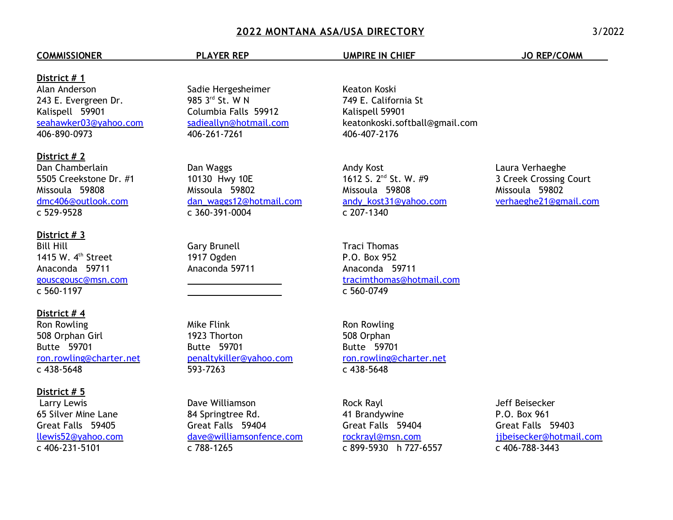# **2022 MONTANA ASA/USA DIRECTORY** 3/2022

### **COMMISSIONER COMMISSIONER** PLAYER REP UMPIRE IN CHIEF JO REP/COMM

### **District # 1**

Alan Anderson 243 E. Evergreen Dr. Kalispell 59901 [seahawker03@yahoo.com](mailto:seahawker03@yahoo.com) 406-890-0973

## **District # 2**

Dan Chamberlain 5505 Creekstone Dr. #1 Missoula 59808 [dmc406@outlook.com](mailto:dicoman@charter.net) c 529-9528

### **District # 3**

Bill Hill 1415 W.  $4<sup>th</sup>$  Street Anaconda 59711 [gouscgousc@msn.com](mailto:gouscgouse@msn.com) c 560-1197

#### **District # 4**

Ron Rowling 508 Orphan Girl Butte 59701 [ron.rowling@charter.net](mailto:Ron.Rowling@charter.net) c 438-5648

#### **District # 5**

 Larry Lewis 65 Silver Mine Lane Great Falls 59405 llewis52@yahoo.com c 406-231-5101

Sadie Hergesheimer 985 3rd St. W N Columbia Falls 59912 sadieallyn@hotmail.com 406-261-7261

Dan Waggs 10130 Hwy 10E Missoula 59802 [dan\\_waggs12@hotmail.com](mailto:4j784606@gmail.com) c 360-391-0004

Gary Brunell 1917 Ogden Anaconda 59711

 $\overline{a}$ 

Mike Flink 1923 Thorton Butte 59701 [penaltykiller@yahoo.com](mailto:penaltykiller@yahoo.com) 593-7263

Dave Williamson 84 Springtree Rd. Great Falls 59404 [dave@williamsonfence.com](mailto:dave@williamsonfence.com) c 788-1265

Keaton Koski 749 E. California St Kalispell 59901 keatonkoski.softball@gmail.com 406-407-2176

Andy Kost 1612 S. 2nd St. W. #9 Missoula 59808 [andy\\_kost31@yahoo.com](mailto:wellnessbycoachmike@yahoo.com) c 207-1340

Traci Thomas P.O. Box 952 Anaconda 59711 [tracimthomas@hotmail.com](mailto:tracimthomas@hotmail.com) c 560-0749

Ron Rowling 508 Orphan Butte 59701 [ron.rowling@charter.net](mailto:ronr@bresnan.net) c 438-5648

Rock Rayl 41 Brandywine Great Falls 59404 [rockrayl@msn.com](mailto:rockray@msn.com) c 899-5930 h 727-6557

Jeff Beisecker P.O. Box 961 Great Falls 59403 jjbeisecker@hotmail.com c 406-788-3443

Laura Verhaeghe 3 Creek Crossing Court Missoula 59802 verhaeghe21@gmail.com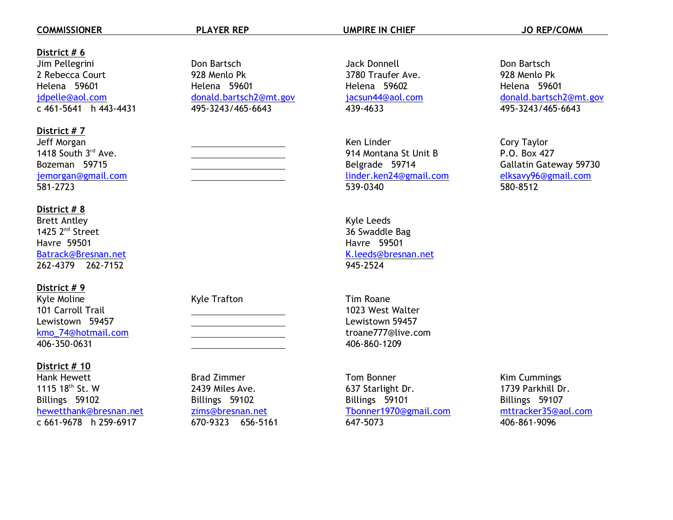## **COMMISSIONER COMMISSIONER** PLAYER REP UMPIRE IN CHIEF **STATISTICS** JO REP/COMM

## **District # 6**

Jim Pellegrini 2 Rebecca Court Helena 59601 [jdpelle@aol.com](mailto:jdpelle@aol.com) c 461-5641 h 443-4431

# **District # 7**

| Jeff Morgan               |
|---------------------------|
| 1418 South 3rd Ave.       |
| Bozeman 59715             |
| <u>jemorgan@gmail.com</u> |
| 581-2723                  |

# **District # 8**

Brett Antley 1425 $2^{nd}$  Street Havre 59501 [Batrack@Bresnan.net](mailto:Batrack@Bresnan.net) 262-4379 262-7152

# **District # 9**

Kyle Moline 101 Carroll Trail Lewistown 59457 [kmo\\_74@hotmail.com](mailto:kmo_14@hotmail.com) 406-350-0631

# **District # 10**

Hank Hewett 1115 18th St. W Billings 59102 [hewetthank@bresnan.net](mailto:hewetthank@bresnan.net) c 661-9678 h 259-6917

Brad Zimmer 2439 Miles Ave. Billings 59102 [zims@bresnan.net](mailto:zims@bresnan.net) 670-9323 656-5161

Kyle Trafton

 $\overline{a}$ 

Don Bartsch 928 Menlo Pk Helena 59601 [donald.bartsch2@mt.gov](mailto:dbartsch@mt.gov) 495-3243/465-6643

 $\overline{a}$ 

Jack Donnell 3780 Traufer Ave. Helena 59602 jacsun44@aol.com 439-4633

Ken Linder 914 Montana St Unit B Belgrade 59714 [linder.ken24@gmail.com](mailto:umpire22@msn.com) 539-0340

Kyle Leeds 36 Swaddle Bag Havre 59501 [K.leeds@bresnan.net](mailto:Kyleeds@bresnan.net) 945-2524

Tim Roane 1023 West Walter Lewistown 59457 troane777@live.com 406-860-1209

Tom Bonner 637 Starlight Dr. Billings 59101 [Tbonner1970@gmail.com](mailto:douglas.e.frank@gmail.com) 647-5073

Don Bartsch 928 Menlo Pk Helena 59601 [donald.bartsch2@mt.gov](mailto:dbartsch@mt.gov) 495-3243/465-6643

Cory Taylor P.O. Box 427 Gallatin Gateway 59730 [elksavy96@gmail.com](mailto:elksavy96@gmail.com) 580-8512

Kim Cummings 1739 Parkhill Dr. Billings 59107 mttracker35@aol.com 406-861-9096